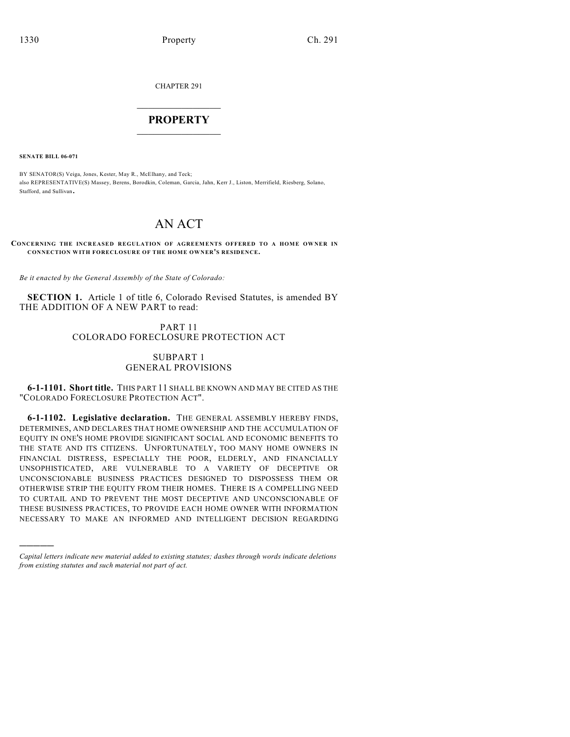CHAPTER 291

## $\overline{\phantom{a}}$  . The set of the set of the set of the set of the set of the set of the set of the set of the set of the set of the set of the set of the set of the set of the set of the set of the set of the set of the set o **PROPERTY**  $\_$   $\_$   $\_$   $\_$   $\_$   $\_$   $\_$   $\_$   $\_$

**SENATE BILL 06-071**

)))))

BY SENATOR(S) Veiga, Jones, Kester, May R., McElhany, and Teck; also REPRESENTATIVE(S) Massey, Berens, Borodkin, Coleman, Garcia, Jahn, Kerr J., Liston, Merrifield, Riesberg, Solano, Stafford, and Sullivan.

# AN ACT

**CONCERNING THE INCREASED REGULATION OF AGREEMENTS OFFERED TO A HOME OWNER IN CONNECTION WITH FORECLOSURE OF THE HOME OWNER'S RESIDENCE.**

*Be it enacted by the General Assembly of the State of Colorado:*

**SECTION 1.** Article 1 of title 6, Colorado Revised Statutes, is amended BY THE ADDITION OF A NEW PART to read:

## PART 11 COLORADO FORECLOSURE PROTECTION ACT

#### SUBPART 1 GENERAL PROVISIONS

**6-1-1101. Short title.** THIS PART 11 SHALL BE KNOWN AND MAY BE CITED AS THE "COLORADO FORECLOSURE PROTECTION ACT".

**6-1-1102. Legislative declaration.** THE GENERAL ASSEMBLY HEREBY FINDS, DETERMINES, AND DECLARES THAT HOME OWNERSHIP AND THE ACCUMULATION OF EQUITY IN ONE'S HOME PROVIDE SIGNIFICANT SOCIAL AND ECONOMIC BENEFITS TO THE STATE AND ITS CITIZENS. UNFORTUNATELY, TOO MANY HOME OWNERS IN FINANCIAL DISTRESS, ESPECIALLY THE POOR, ELDERLY, AND FINANCIALLY UNSOPHISTICATED, ARE VULNERABLE TO A VARIETY OF DECEPTIVE OR UNCONSCIONABLE BUSINESS PRACTICES DESIGNED TO DISPOSSESS THEM OR OTHERWISE STRIP THE EQUITY FROM THEIR HOMES. THERE IS A COMPELLING NEED TO CURTAIL AND TO PREVENT THE MOST DECEPTIVE AND UNCONSCIONABLE OF THESE BUSINESS PRACTICES, TO PROVIDE EACH HOME OWNER WITH INFORMATION NECESSARY TO MAKE AN INFORMED AND INTELLIGENT DECISION REGARDING

*Capital letters indicate new material added to existing statutes; dashes through words indicate deletions from existing statutes and such material not part of act.*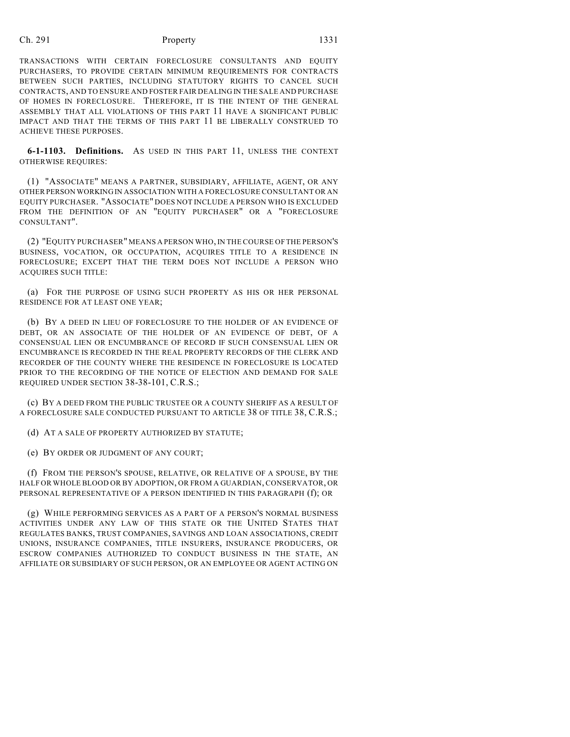TRANSACTIONS WITH CERTAIN FORECLOSURE CONSULTANTS AND EQUITY PURCHASERS, TO PROVIDE CERTAIN MINIMUM REQUIREMENTS FOR CONTRACTS BETWEEN SUCH PARTIES, INCLUDING STATUTORY RIGHTS TO CANCEL SUCH CONTRACTS, AND TO ENSURE AND FOSTER FAIR DEALING IN THE SALE AND PURCHASE OF HOMES IN FORECLOSURE. THEREFORE, IT IS THE INTENT OF THE GENERAL ASSEMBLY THAT ALL VIOLATIONS OF THIS PART 11 HAVE A SIGNIFICANT PUBLIC IMPACT AND THAT THE TERMS OF THIS PART 11 BE LIBERALLY CONSTRUED TO ACHIEVE THESE PURPOSES.

**6-1-1103. Definitions.** AS USED IN THIS PART 11, UNLESS THE CONTEXT OTHERWISE REQUIRES:

(1) "ASSOCIATE" MEANS A PARTNER, SUBSIDIARY, AFFILIATE, AGENT, OR ANY OTHER PERSON WORKING IN ASSOCIATION WITH A FORECLOSURE CONSULTANT OR AN EQUITY PURCHASER. "ASSOCIATE" DOES NOT INCLUDE A PERSON WHO IS EXCLUDED FROM THE DEFINITION OF AN "EQUITY PURCHASER" OR A "FORECLOSURE CONSULTANT".

(2) "EQUITY PURCHASER" MEANS A PERSON WHO, IN THE COURSE OF THE PERSON'S BUSINESS, VOCATION, OR OCCUPATION, ACQUIRES TITLE TO A RESIDENCE IN FORECLOSURE; EXCEPT THAT THE TERM DOES NOT INCLUDE A PERSON WHO ACQUIRES SUCH TITLE:

(a) FOR THE PURPOSE OF USING SUCH PROPERTY AS HIS OR HER PERSONAL RESIDENCE FOR AT LEAST ONE YEAR;

(b) BY A DEED IN LIEU OF FORECLOSURE TO THE HOLDER OF AN EVIDENCE OF DEBT, OR AN ASSOCIATE OF THE HOLDER OF AN EVIDENCE OF DEBT, OF A CONSENSUAL LIEN OR ENCUMBRANCE OF RECORD IF SUCH CONSENSUAL LIEN OR ENCUMBRANCE IS RECORDED IN THE REAL PROPERTY RECORDS OF THE CLERK AND RECORDER OF THE COUNTY WHERE THE RESIDENCE IN FORECLOSURE IS LOCATED PRIOR TO THE RECORDING OF THE NOTICE OF ELECTION AND DEMAND FOR SALE REQUIRED UNDER SECTION 38-38-101, C.R.S.;

(c) BY A DEED FROM THE PUBLIC TRUSTEE OR A COUNTY SHERIFF AS A RESULT OF A FORECLOSURE SALE CONDUCTED PURSUANT TO ARTICLE 38 OF TITLE 38, C.R.S.;

(d) AT A SALE OF PROPERTY AUTHORIZED BY STATUTE;

(e) BY ORDER OR JUDGMENT OF ANY COURT;

(f) FROM THE PERSON'S SPOUSE, RELATIVE, OR RELATIVE OF A SPOUSE, BY THE HALF OR WHOLE BLOOD OR BY ADOPTION, OR FROM A GUARDIAN, CONSERVATOR, OR PERSONAL REPRESENTATIVE OF A PERSON IDENTIFIED IN THIS PARAGRAPH (f); OR

(g) WHILE PERFORMING SERVICES AS A PART OF A PERSON'S NORMAL BUSINESS ACTIVITIES UNDER ANY LAW OF THIS STATE OR THE UNITED STATES THAT REGULATES BANKS, TRUST COMPANIES, SAVINGS AND LOAN ASSOCIATIONS, CREDIT UNIONS, INSURANCE COMPANIES, TITLE INSURERS, INSURANCE PRODUCERS, OR ESCROW COMPANIES AUTHORIZED TO CONDUCT BUSINESS IN THE STATE, AN AFFILIATE OR SUBSIDIARY OF SUCH PERSON, OR AN EMPLOYEE OR AGENT ACTING ON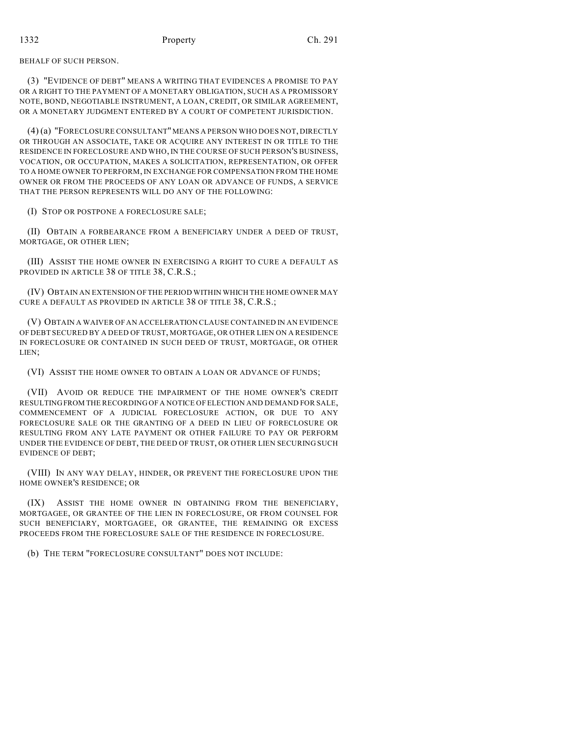BEHALF OF SUCH PERSON.

(3) "EVIDENCE OF DEBT" MEANS A WRITING THAT EVIDENCES A PROMISE TO PAY OR A RIGHT TO THE PAYMENT OF A MONETARY OBLIGATION, SUCH AS A PROMISSORY NOTE, BOND, NEGOTIABLE INSTRUMENT, A LOAN, CREDIT, OR SIMILAR AGREEMENT, OR A MONETARY JUDGMENT ENTERED BY A COURT OF COMPETENT JURISDICTION.

(4) (a) "FORECLOSURE CONSULTANT" MEANS A PERSON WHO DOES NOT, DIRECTLY OR THROUGH AN ASSOCIATE, TAKE OR ACQUIRE ANY INTEREST IN OR TITLE TO THE RESIDENCE IN FORECLOSURE AND WHO, IN THE COURSE OF SUCH PERSON'S BUSINESS, VOCATION, OR OCCUPATION, MAKES A SOLICITATION, REPRESENTATION, OR OFFER TO A HOME OWNER TO PERFORM, IN EXCHANGE FOR COMPENSATION FROM THE HOME OWNER OR FROM THE PROCEEDS OF ANY LOAN OR ADVANCE OF FUNDS, A SERVICE THAT THE PERSON REPRESENTS WILL DO ANY OF THE FOLLOWING:

(I) STOP OR POSTPONE A FORECLOSURE SALE;

(II) OBTAIN A FORBEARANCE FROM A BENEFICIARY UNDER A DEED OF TRUST, MORTGAGE, OR OTHER LIEN;

(III) ASSIST THE HOME OWNER IN EXERCISING A RIGHT TO CURE A DEFAULT AS PROVIDED IN ARTICLE 38 OF TITLE 38, C.R.S.;

(IV) OBTAIN AN EXTENSION OF THE PERIOD WITHIN WHICH THE HOME OWNER MAY CURE A DEFAULT AS PROVIDED IN ARTICLE 38 OF TITLE 38, C.R.S.;

(V) OBTAIN A WAIVER OF AN ACCELERATION CLAUSE CONTAINED IN AN EVIDENCE OF DEBT SECURED BY A DEED OF TRUST, MORTGAGE, OR OTHER LIEN ON A RESIDENCE IN FORECLOSURE OR CONTAINED IN SUCH DEED OF TRUST, MORTGAGE, OR OTHER LIEN;

(VI) ASSIST THE HOME OWNER TO OBTAIN A LOAN OR ADVANCE OF FUNDS;

(VII) AVOID OR REDUCE THE IMPAIRMENT OF THE HOME OWNER'S CREDIT RESULTING FROM THE RECORDING OF A NOTICE OF ELECTION AND DEMAND FOR SALE, COMMENCEMENT OF A JUDICIAL FORECLOSURE ACTION, OR DUE TO ANY FORECLOSURE SALE OR THE GRANTING OF A DEED IN LIEU OF FORECLOSURE OR RESULTING FROM ANY LATE PAYMENT OR OTHER FAILURE TO PAY OR PERFORM UNDER THE EVIDENCE OF DEBT, THE DEED OF TRUST, OR OTHER LIEN SECURING SUCH EVIDENCE OF DEBT;

(VIII) IN ANY WAY DELAY, HINDER, OR PREVENT THE FORECLOSURE UPON THE HOME OWNER'S RESIDENCE; OR

(IX) ASSIST THE HOME OWNER IN OBTAINING FROM THE BENEFICIARY, MORTGAGEE, OR GRANTEE OF THE LIEN IN FORECLOSURE, OR FROM COUNSEL FOR SUCH BENEFICIARY, MORTGAGEE, OR GRANTEE, THE REMAINING OR EXCESS PROCEEDS FROM THE FORECLOSURE SALE OF THE RESIDENCE IN FORECLOSURE.

(b) THE TERM "FORECLOSURE CONSULTANT" DOES NOT INCLUDE: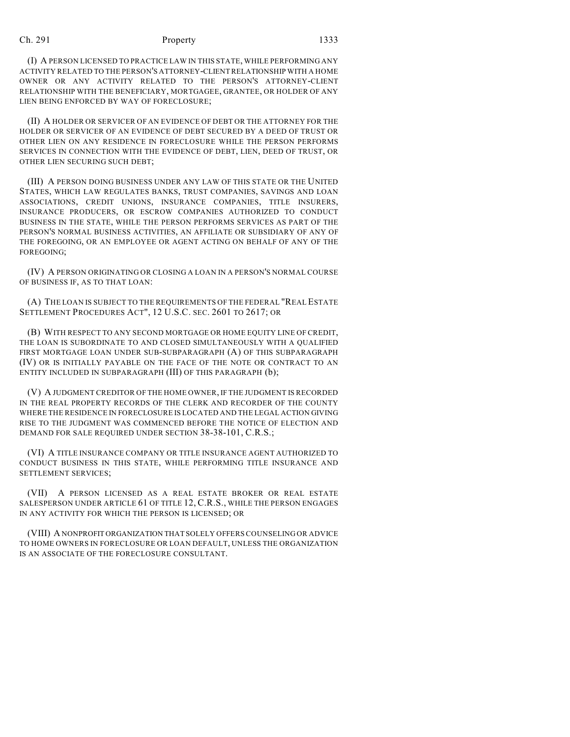(I) A PERSON LICENSED TO PRACTICE LAW IN THIS STATE, WHILE PERFORMING ANY ACTIVITY RELATED TO THE PERSON'S ATTORNEY-CLIENT RELATIONSHIP WITH A HOME OWNER OR ANY ACTIVITY RELATED TO THE PERSON'S ATTORNEY-CLIENT RELATIONSHIP WITH THE BENEFICIARY, MORTGAGEE, GRANTEE, OR HOLDER OF ANY LIEN BEING ENFORCED BY WAY OF FORECLOSURE;

(II) A HOLDER OR SERVICER OF AN EVIDENCE OF DEBT OR THE ATTORNEY FOR THE HOLDER OR SERVICER OF AN EVIDENCE OF DEBT SECURED BY A DEED OF TRUST OR OTHER LIEN ON ANY RESIDENCE IN FORECLOSURE WHILE THE PERSON PERFORMS SERVICES IN CONNECTION WITH THE EVIDENCE OF DEBT, LIEN, DEED OF TRUST, OR OTHER LIEN SECURING SUCH DEBT;

(III) A PERSON DOING BUSINESS UNDER ANY LAW OF THIS STATE OR THE UNITED STATES, WHICH LAW REGULATES BANKS, TRUST COMPANIES, SAVINGS AND LOAN ASSOCIATIONS, CREDIT UNIONS, INSURANCE COMPANIES, TITLE INSURERS, INSURANCE PRODUCERS, OR ESCROW COMPANIES AUTHORIZED TO CONDUCT BUSINESS IN THE STATE, WHILE THE PERSON PERFORMS SERVICES AS PART OF THE PERSON'S NORMAL BUSINESS ACTIVITIES, AN AFFILIATE OR SUBSIDIARY OF ANY OF THE FOREGOING, OR AN EMPLOYEE OR AGENT ACTING ON BEHALF OF ANY OF THE FOREGOING;

(IV) A PERSON ORIGINATING OR CLOSING A LOAN IN A PERSON'S NORMAL COURSE OF BUSINESS IF, AS TO THAT LOAN:

(A) THE LOAN IS SUBJECT TO THE REQUIREMENTS OF THE FEDERAL "REAL ESTATE SETTLEMENT PROCEDURES ACT", 12 U.S.C. SEC. 2601 TO 2617; OR

(B) WITH RESPECT TO ANY SECOND MORTGAGE OR HOME EQUITY LINE OF CREDIT, THE LOAN IS SUBORDINATE TO AND CLOSED SIMULTANEOUSLY WITH A QUALIFIED FIRST MORTGAGE LOAN UNDER SUB-SUBPARAGRAPH (A) OF THIS SUBPARAGRAPH (IV) OR IS INITIALLY PAYABLE ON THE FACE OF THE NOTE OR CONTRACT TO AN ENTITY INCLUDED IN SUBPARAGRAPH (III) OF THIS PARAGRAPH (b);

(V) A JUDGMENT CREDITOR OF THE HOME OWNER, IF THE JUDGMENT IS RECORDED IN THE REAL PROPERTY RECORDS OF THE CLERK AND RECORDER OF THE COUNTY WHERE THE RESIDENCE IN FORECLOSURE IS LOCATED AND THE LEGAL ACTION GIVING RISE TO THE JUDGMENT WAS COMMENCED BEFORE THE NOTICE OF ELECTION AND DEMAND FOR SALE REQUIRED UNDER SECTION 38-38-101, C.R.S.;

(VI) A TITLE INSURANCE COMPANY OR TITLE INSURANCE AGENT AUTHORIZED TO CONDUCT BUSINESS IN THIS STATE, WHILE PERFORMING TITLE INSURANCE AND SETTLEMENT SERVICES;

(VII) A PERSON LICENSED AS A REAL ESTATE BROKER OR REAL ESTATE SALESPERSON UNDER ARTICLE 61 OF TITLE 12, C.R.S., WHILE THE PERSON ENGAGES IN ANY ACTIVITY FOR WHICH THE PERSON IS LICENSED; OR

(VIII) A NONPROFIT ORGANIZATION THAT SOLELY OFFERS COUNSELING OR ADVICE TO HOME OWNERS IN FORECLOSURE OR LOAN DEFAULT, UNLESS THE ORGANIZATION IS AN ASSOCIATE OF THE FORECLOSURE CONSULTANT.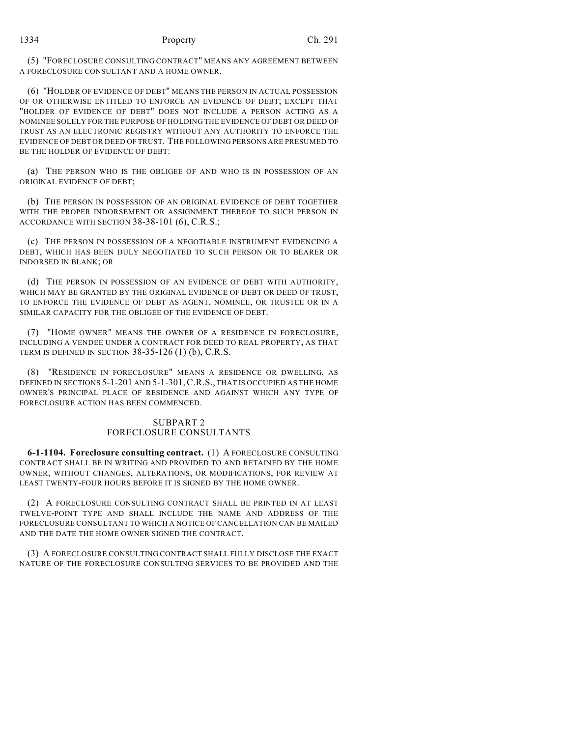#### 1334 Property Ch. 291

(5) "FORECLOSURE CONSULTING CONTRACT" MEANS ANY AGREEMENT BETWEEN A FORECLOSURE CONSULTANT AND A HOME OWNER.

(6) "HOLDER OF EVIDENCE OF DEBT" MEANS THE PERSON IN ACTUAL POSSESSION OF OR OTHERWISE ENTITLED TO ENFORCE AN EVIDENCE OF DEBT; EXCEPT THAT "HOLDER OF EVIDENCE OF DEBT" DOES NOT INCLUDE A PERSON ACTING AS A NOMINEE SOLELY FOR THE PURPOSE OF HOLDING THE EVIDENCE OF DEBT OR DEED OF TRUST AS AN ELECTRONIC REGISTRY WITHOUT ANY AUTHORITY TO ENFORCE THE EVIDENCE OF DEBT OR DEED OF TRUST. THE FOLLOWING PERSONS ARE PRESUMED TO BE THE HOLDER OF EVIDENCE OF DEBT:

(a) THE PERSON WHO IS THE OBLIGEE OF AND WHO IS IN POSSESSION OF AN ORIGINAL EVIDENCE OF DEBT;

(b) THE PERSON IN POSSESSION OF AN ORIGINAL EVIDENCE OF DEBT TOGETHER WITH THE PROPER INDORSEMENT OR ASSIGNMENT THEREOF TO SUCH PERSON IN ACCORDANCE WITH SECTION 38-38-101 (6), C.R.S.;

(c) THE PERSON IN POSSESSION OF A NEGOTIABLE INSTRUMENT EVIDENCING A DEBT, WHICH HAS BEEN DULY NEGOTIATED TO SUCH PERSON OR TO BEARER OR INDORSED IN BLANK; OR

(d) THE PERSON IN POSSESSION OF AN EVIDENCE OF DEBT WITH AUTHORITY, WHICH MAY BE GRANTED BY THE ORIGINAL EVIDENCE OF DEBT OR DEED OF TRUST, TO ENFORCE THE EVIDENCE OF DEBT AS AGENT, NOMINEE, OR TRUSTEE OR IN A SIMILAR CAPACITY FOR THE OBLIGEE OF THE EVIDENCE OF DEBT.

(7) "HOME OWNER" MEANS THE OWNER OF A RESIDENCE IN FORECLOSURE, INCLUDING A VENDEE UNDER A CONTRACT FOR DEED TO REAL PROPERTY, AS THAT TERM IS DEFINED IN SECTION 38-35-126 (1) (b), C.R.S.

(8) "RESIDENCE IN FORECLOSURE" MEANS A RESIDENCE OR DWELLING, AS DEFINED IN SECTIONS 5-1-201 AND 5-1-301,C.R.S., THAT IS OCCUPIED AS THE HOME OWNER'S PRINCIPAL PLACE OF RESIDENCE AND AGAINST WHICH ANY TYPE OF FORECLOSURE ACTION HAS BEEN COMMENCED.

## SUBPART 2 FORECLOSURE CONSULTANTS

**6-1-1104. Foreclosure consulting contract.** (1) A FORECLOSURE CONSULTING CONTRACT SHALL BE IN WRITING AND PROVIDED TO AND RETAINED BY THE HOME OWNER, WITHOUT CHANGES, ALTERATIONS, OR MODIFICATIONS, FOR REVIEW AT LEAST TWENTY-FOUR HOURS BEFORE IT IS SIGNED BY THE HOME OWNER.

(2) A FORECLOSURE CONSULTING CONTRACT SHALL BE PRINTED IN AT LEAST TWELVE-POINT TYPE AND SHALL INCLUDE THE NAME AND ADDRESS OF THE FORECLOSURE CONSULTANT TO WHICH A NOTICE OF CANCELLATION CAN BE MAILED AND THE DATE THE HOME OWNER SIGNED THE CONTRACT.

(3) A FORECLOSURE CONSULTING CONTRACT SHALL FULLY DISCLOSE THE EXACT NATURE OF THE FORECLOSURE CONSULTING SERVICES TO BE PROVIDED AND THE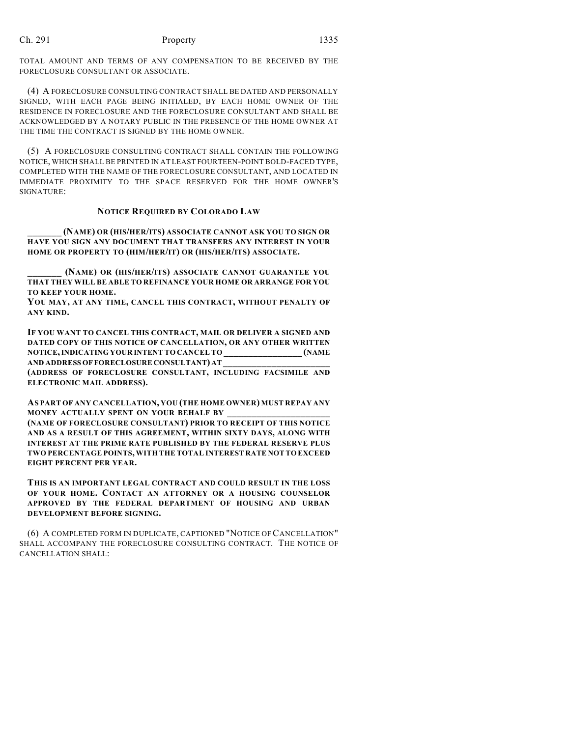TOTAL AMOUNT AND TERMS OF ANY COMPENSATION TO BE RECEIVED BY THE FORECLOSURE CONSULTANT OR ASSOCIATE.

(4) A FORECLOSURE CONSULTING CONTRACT SHALL BE DATED AND PERSONALLY SIGNED, WITH EACH PAGE BEING INITIALED, BY EACH HOME OWNER OF THE RESIDENCE IN FORECLOSURE AND THE FORECLOSURE CONSULTANT AND SHALL BE ACKNOWLEDGED BY A NOTARY PUBLIC IN THE PRESENCE OF THE HOME OWNER AT THE TIME THE CONTRACT IS SIGNED BY THE HOME OWNER.

(5) A FORECLOSURE CONSULTING CONTRACT SHALL CONTAIN THE FOLLOWING NOTICE, WHICH SHALL BE PRINTED IN AT LEAST FOURTEEN-POINT BOLD-FACED TYPE, COMPLETED WITH THE NAME OF THE FORECLOSURE CONSULTANT, AND LOCATED IN IMMEDIATE PROXIMITY TO THE SPACE RESERVED FOR THE HOME OWNER'S SIGNATURE:

#### **NOTICE REQUIRED BY COLORADO LAW**

**\_\_\_\_\_\_\_ (NAME) OR (HIS/HER/ITS) ASSOCIATE CANNOT ASK YOU TO SIGN OR HAVE YOU SIGN ANY DOCUMENT THAT TRANSFERS ANY INTEREST IN YOUR HOME OR PROPERTY TO (HIM/HER/IT) OR (HIS/HER/ITS) ASSOCIATE.**

**\_\_\_\_\_\_\_ (NAME) OR (HIS/HER/ITS) ASSOCIATE CANNOT GUARANTEE YOU THAT THEY WILL BE ABLE TO REFINANCE YOUR HOME OR ARRANGE FOR YOU TO KEEP YOUR HOME.**

**YOU MAY, AT ANY TIME, CANCEL THIS CONTRACT, WITHOUT PENALTY OF ANY KIND.**

**IF YOU WANT TO CANCEL THIS CONTRACT, MAIL OR DELIVER A SIGNED AND DATED COPY OF THIS NOTICE OF CANCELLATION, OR ANY OTHER WRITTEN NOTICE, INDICATING YOUR INTENT TO CANCEL TO \_\_\_\_\_\_\_\_\_\_\_\_\_\_\_\_ (NAME AND ADDRESS OF FORECLOSURE CONSULTANT) AT \_\_\_\_\_\_\_\_\_\_\_\_\_\_\_\_\_\_\_\_\_\_**

**(ADDRESS OF FORECLOSURE CONSULTANT, INCLUDING FACSIMILE AND ELECTRONIC MAIL ADDRESS).**

**AS PART OF ANY CANCELLATION, YOU (THE HOME OWNER) MUST REPAY ANY MONEY ACTUALLY SPENT ON YOUR BEHALF BY** 

**(NAME OF FORECLOSURE CONSULTANT) PRIOR TO RECEIPT OF THIS NOTICE AND AS A RESULT OF THIS AGREEMENT, WITHIN SIXTY DAYS, ALONG WITH INTEREST AT THE PRIME RATE PUBLISHED BY THE FEDERAL RESERVE PLUS TWO PERCENTAGE POINTS, WITH THE TOTAL INTEREST RATE NOT TO EXCEED EIGHT PERCENT PER YEAR.**

**THIS IS AN IMPORTANT LEGAL CONTRACT AND COULD RESULT IN THE LOSS OF YOUR HOME. CONTACT AN ATTORNEY OR A HOUSING COUNSELOR APPROVED BY THE FEDERAL DEPARTMENT OF HOUSING AND URBAN DEVELOPMENT BEFORE SIGNING.**

(6) A COMPLETED FORM IN DUPLICATE, CAPTIONED "NOTICE OF CANCELLATION" SHALL ACCOMPANY THE FORECLOSURE CONSULTING CONTRACT. THE NOTICE OF CANCELLATION SHALL: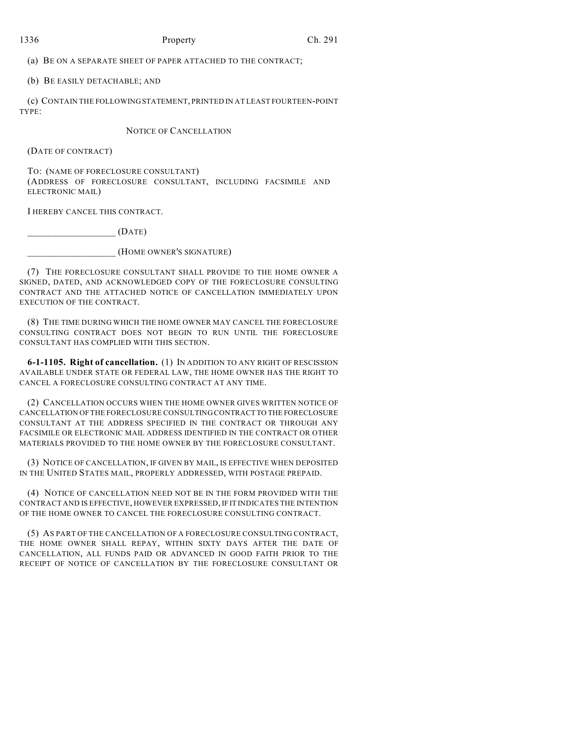(a) BE ON A SEPARATE SHEET OF PAPER ATTACHED TO THE CONTRACT;

(b) BE EASILY DETACHABLE; AND

(c) CONTAIN THE FOLLOWING STATEMENT, PRINTED IN AT LEAST FOURTEEN-POINT TYPE:

NOTICE OF CANCELLATION

(DATE OF CONTRACT)

TO: (NAME OF FORECLOSURE CONSULTANT) (ADDRESS OF FORECLOSURE CONSULTANT, INCLUDING FACSIMILE AND ELECTRONIC MAIL)

I HEREBY CANCEL THIS CONTRACT.

 $(DATE)$ 

\_\_\_\_\_\_\_\_\_\_\_\_\_\_\_\_\_\_ (HOME OWNER'S SIGNATURE)

(7) THE FORECLOSURE CONSULTANT SHALL PROVIDE TO THE HOME OWNER A SIGNED, DATED, AND ACKNOWLEDGED COPY OF THE FORECLOSURE CONSULTING CONTRACT AND THE ATTACHED NOTICE OF CANCELLATION IMMEDIATELY UPON EXECUTION OF THE CONTRACT.

(8) THE TIME DURING WHICH THE HOME OWNER MAY CANCEL THE FORECLOSURE CONSULTING CONTRACT DOES NOT BEGIN TO RUN UNTIL THE FORECLOSURE CONSULTANT HAS COMPLIED WITH THIS SECTION.

**6-1-1105. Right of cancellation.** (1) IN ADDITION TO ANY RIGHT OF RESCISSION AVAILABLE UNDER STATE OR FEDERAL LAW, THE HOME OWNER HAS THE RIGHT TO CANCEL A FORECLOSURE CONSULTING CONTRACT AT ANY TIME.

(2) CANCELLATION OCCURS WHEN THE HOME OWNER GIVES WRITTEN NOTICE OF CANCELLATION OF THE FORECLOSURE CONSULTING CONTRACT TO THE FORECLOSURE CONSULTANT AT THE ADDRESS SPECIFIED IN THE CONTRACT OR THROUGH ANY FACSIMILE OR ELECTRONIC MAIL ADDRESS IDENTIFIED IN THE CONTRACT OR OTHER MATERIALS PROVIDED TO THE HOME OWNER BY THE FORECLOSURE CONSULTANT.

(3) NOTICE OF CANCELLATION, IF GIVEN BY MAIL, IS EFFECTIVE WHEN DEPOSITED IN THE UNITED STATES MAIL, PROPERLY ADDRESSED, WITH POSTAGE PREPAID.

(4) NOTICE OF CANCELLATION NEED NOT BE IN THE FORM PROVIDED WITH THE CONTRACT AND IS EFFECTIVE, HOWEVER EXPRESSED, IF IT INDICATES THE INTENTION OF THE HOME OWNER TO CANCEL THE FORECLOSURE CONSULTING CONTRACT.

(5) AS PART OF THE CANCELLATION OF A FORECLOSURE CONSULTING CONTRACT, THE HOME OWNER SHALL REPAY, WITHIN SIXTY DAYS AFTER THE DATE OF CANCELLATION, ALL FUNDS PAID OR ADVANCED IN GOOD FAITH PRIOR TO THE RECEIPT OF NOTICE OF CANCELLATION BY THE FORECLOSURE CONSULTANT OR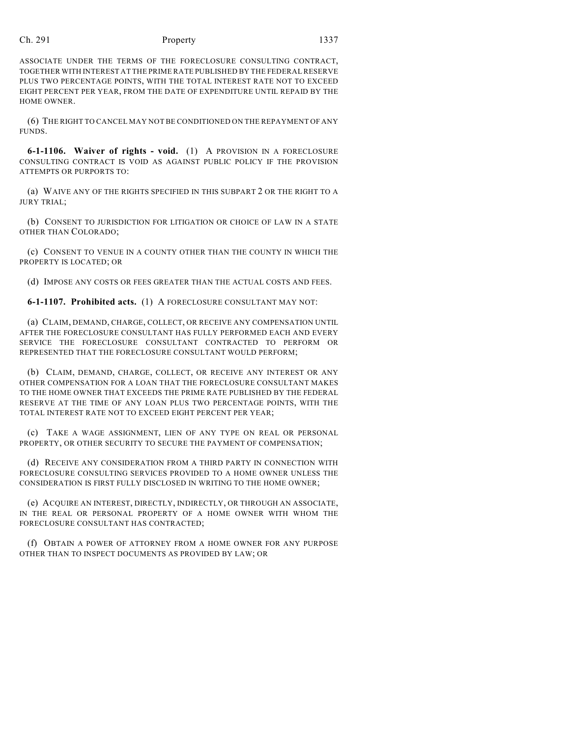ASSOCIATE UNDER THE TERMS OF THE FORECLOSURE CONSULTING CONTRACT, TOGETHER WITH INTEREST AT THE PRIME RATE PUBLISHED BY THE FEDERAL RESERVE PLUS TWO PERCENTAGE POINTS, WITH THE TOTAL INTEREST RATE NOT TO EXCEED EIGHT PERCENT PER YEAR, FROM THE DATE OF EXPENDITURE UNTIL REPAID BY THE HOME OWNER.

(6) THE RIGHT TO CANCEL MAY NOT BE CONDITIONED ON THE REPAYMENT OF ANY FUNDS.

**6-1-1106. Waiver of rights - void.** (1) A PROVISION IN A FORECLOSURE CONSULTING CONTRACT IS VOID AS AGAINST PUBLIC POLICY IF THE PROVISION ATTEMPTS OR PURPORTS TO:

(a) WAIVE ANY OF THE RIGHTS SPECIFIED IN THIS SUBPART 2 OR THE RIGHT TO A JURY TRIAL;

(b) CONSENT TO JURISDICTION FOR LITIGATION OR CHOICE OF LAW IN A STATE OTHER THAN COLORADO;

(c) CONSENT TO VENUE IN A COUNTY OTHER THAN THE COUNTY IN WHICH THE PROPERTY IS LOCATED; OR

(d) IMPOSE ANY COSTS OR FEES GREATER THAN THE ACTUAL COSTS AND FEES.

**6-1-1107. Prohibited acts.** (1) A FORECLOSURE CONSULTANT MAY NOT:

(a) CLAIM, DEMAND, CHARGE, COLLECT, OR RECEIVE ANY COMPENSATION UNTIL AFTER THE FORECLOSURE CONSULTANT HAS FULLY PERFORMED EACH AND EVERY SERVICE THE FORECLOSURE CONSULTANT CONTRACTED TO PERFORM OR REPRESENTED THAT THE FORECLOSURE CONSULTANT WOULD PERFORM;

(b) CLAIM, DEMAND, CHARGE, COLLECT, OR RECEIVE ANY INTEREST OR ANY OTHER COMPENSATION FOR A LOAN THAT THE FORECLOSURE CONSULTANT MAKES TO THE HOME OWNER THAT EXCEEDS THE PRIME RATE PUBLISHED BY THE FEDERAL RESERVE AT THE TIME OF ANY LOAN PLUS TWO PERCENTAGE POINTS, WITH THE TOTAL INTEREST RATE NOT TO EXCEED EIGHT PERCENT PER YEAR;

(c) TAKE A WAGE ASSIGNMENT, LIEN OF ANY TYPE ON REAL OR PERSONAL PROPERTY, OR OTHER SECURITY TO SECURE THE PAYMENT OF COMPENSATION;

(d) RECEIVE ANY CONSIDERATION FROM A THIRD PARTY IN CONNECTION WITH FORECLOSURE CONSULTING SERVICES PROVIDED TO A HOME OWNER UNLESS THE CONSIDERATION IS FIRST FULLY DISCLOSED IN WRITING TO THE HOME OWNER;

(e) ACQUIRE AN INTEREST, DIRECTLY, INDIRECTLY, OR THROUGH AN ASSOCIATE, IN THE REAL OR PERSONAL PROPERTY OF A HOME OWNER WITH WHOM THE FORECLOSURE CONSULTANT HAS CONTRACTED;

(f) OBTAIN A POWER OF ATTORNEY FROM A HOME OWNER FOR ANY PURPOSE OTHER THAN TO INSPECT DOCUMENTS AS PROVIDED BY LAW; OR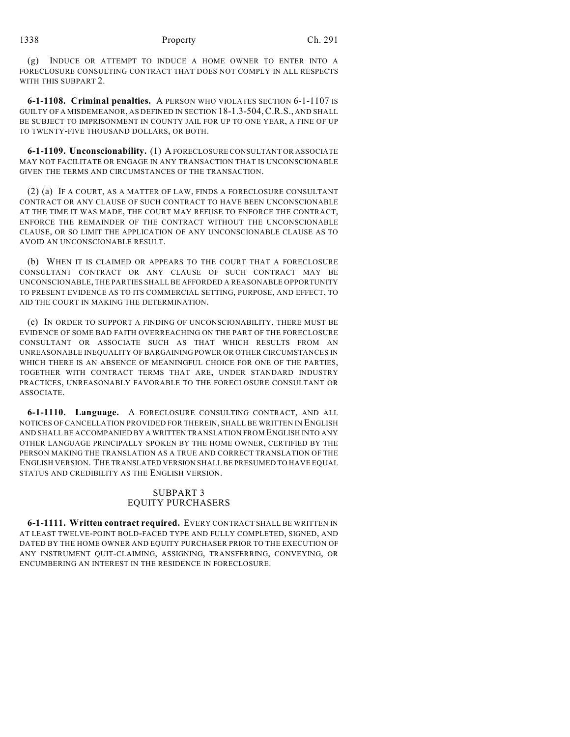(g) INDUCE OR ATTEMPT TO INDUCE A HOME OWNER TO ENTER INTO A FORECLOSURE CONSULTING CONTRACT THAT DOES NOT COMPLY IN ALL RESPECTS WITH THIS SUBPART 2.

**6-1-1108. Criminal penalties.** A PERSON WHO VIOLATES SECTION 6-1-1107 IS GUILTY OF A MISDEMEANOR, AS DEFINED IN SECTION 18-1.3-504,C.R.S., AND SHALL BE SUBJECT TO IMPRISONMENT IN COUNTY JAIL FOR UP TO ONE YEAR, A FINE OF UP TO TWENTY-FIVE THOUSAND DOLLARS, OR BOTH.

**6-1-1109. Unconscionability.** (1) A FORECLOSURE CONSULTANT OR ASSOCIATE MAY NOT FACILITATE OR ENGAGE IN ANY TRANSACTION THAT IS UNCONSCIONABLE GIVEN THE TERMS AND CIRCUMSTANCES OF THE TRANSACTION.

(2) (a) IF A COURT, AS A MATTER OF LAW, FINDS A FORECLOSURE CONSULTANT CONTRACT OR ANY CLAUSE OF SUCH CONTRACT TO HAVE BEEN UNCONSCIONABLE AT THE TIME IT WAS MADE, THE COURT MAY REFUSE TO ENFORCE THE CONTRACT, ENFORCE THE REMAINDER OF THE CONTRACT WITHOUT THE UNCONSCIONABLE CLAUSE, OR SO LIMIT THE APPLICATION OF ANY UNCONSCIONABLE CLAUSE AS TO AVOID AN UNCONSCIONABLE RESULT.

(b) WHEN IT IS CLAIMED OR APPEARS TO THE COURT THAT A FORECLOSURE CONSULTANT CONTRACT OR ANY CLAUSE OF SUCH CONTRACT MAY BE UNCONSCIONABLE, THE PARTIES SHALL BE AFFORDED A REASONABLE OPPORTUNITY TO PRESENT EVIDENCE AS TO ITS COMMERCIAL SETTING, PURPOSE, AND EFFECT, TO AID THE COURT IN MAKING THE DETERMINATION.

(c) IN ORDER TO SUPPORT A FINDING OF UNCONSCIONABILITY, THERE MUST BE EVIDENCE OF SOME BAD FAITH OVERREACHING ON THE PART OF THE FORECLOSURE CONSULTANT OR ASSOCIATE SUCH AS THAT WHICH RESULTS FROM AN UNREASONABLE INEQUALITY OF BARGAINING POWER OR OTHER CIRCUMSTANCES IN WHICH THERE IS AN ABSENCE OF MEANINGFUL CHOICE FOR ONE OF THE PARTIES, TOGETHER WITH CONTRACT TERMS THAT ARE, UNDER STANDARD INDUSTRY PRACTICES, UNREASONABLY FAVORABLE TO THE FORECLOSURE CONSULTANT OR ASSOCIATE.

**6-1-1110. Language.** A FORECLOSURE CONSULTING CONTRACT, AND ALL NOTICES OF CANCELLATION PROVIDED FOR THEREIN, SHALL BE WRITTEN IN ENGLISH AND SHALL BE ACCOMPANIED BY A WRITTEN TRANSLATION FROM ENGLISH INTO ANY OTHER LANGUAGE PRINCIPALLY SPOKEN BY THE HOME OWNER, CERTIFIED BY THE PERSON MAKING THE TRANSLATION AS A TRUE AND CORRECT TRANSLATION OF THE ENGLISH VERSION. THE TRANSLATED VERSION SHALL BE PRESUMED TO HAVE EQUAL STATUS AND CREDIBILITY AS THE ENGLISH VERSION.

## SUBPART 3 EQUITY PURCHASERS

**6-1-1111. Written contract required.** EVERY CONTRACT SHALL BE WRITTEN IN AT LEAST TWELVE-POINT BOLD-FACED TYPE AND FULLY COMPLETED, SIGNED, AND DATED BY THE HOME OWNER AND EQUITY PURCHASER PRIOR TO THE EXECUTION OF ANY INSTRUMENT QUIT-CLAIMING, ASSIGNING, TRANSFERRING, CONVEYING, OR ENCUMBERING AN INTEREST IN THE RESIDENCE IN FORECLOSURE.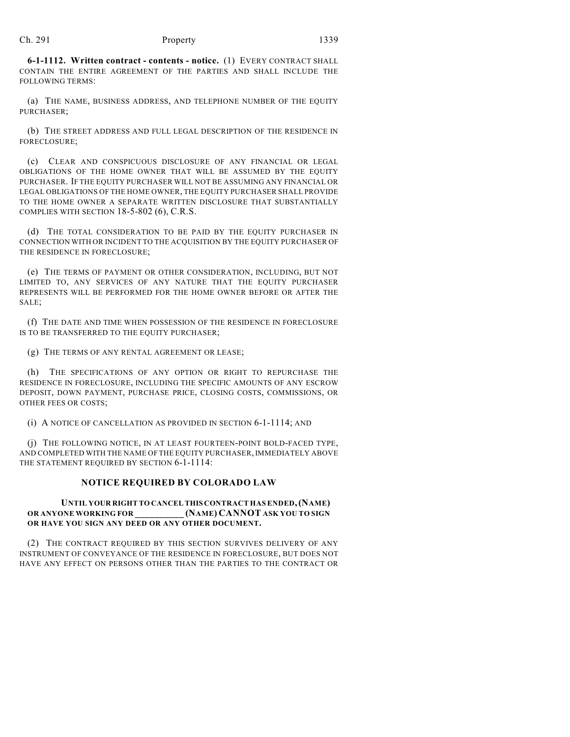**6-1-1112. Written contract - contents - notice.** (1) EVERY CONTRACT SHALL CONTAIN THE ENTIRE AGREEMENT OF THE PARTIES AND SHALL INCLUDE THE FOLLOWING TERMS:

(a) THE NAME, BUSINESS ADDRESS, AND TELEPHONE NUMBER OF THE EQUITY PURCHASER;

(b) THE STREET ADDRESS AND FULL LEGAL DESCRIPTION OF THE RESIDENCE IN FORECLOSURE;

(c) CLEAR AND CONSPICUOUS DISCLOSURE OF ANY FINANCIAL OR LEGAL OBLIGATIONS OF THE HOME OWNER THAT WILL BE ASSUMED BY THE EQUITY PURCHASER. IF THE EQUITY PURCHASER WILL NOT BE ASSUMING ANY FINANCIAL OR LEGAL OBLIGATIONS OF THE HOME OWNER, THE EQUITY PURCHASER SHALL PROVIDE TO THE HOME OWNER A SEPARATE WRITTEN DISCLOSURE THAT SUBSTANTIALLY COMPLIES WITH SECTION 18-5-802 (6), C.R.S.

(d) THE TOTAL CONSIDERATION TO BE PAID BY THE EQUITY PURCHASER IN CONNECTION WITH OR INCIDENT TO THE ACQUISITION BY THE EQUITY PURCHASER OF THE RESIDENCE IN FORECLOSURE;

(e) THE TERMS OF PAYMENT OR OTHER CONSIDERATION, INCLUDING, BUT NOT LIMITED TO, ANY SERVICES OF ANY NATURE THAT THE EQUITY PURCHASER REPRESENTS WILL BE PERFORMED FOR THE HOME OWNER BEFORE OR AFTER THE SALE;

(f) THE DATE AND TIME WHEN POSSESSION OF THE RESIDENCE IN FORECLOSURE IS TO BE TRANSFERRED TO THE EQUITY PURCHASER;

(g) THE TERMS OF ANY RENTAL AGREEMENT OR LEASE;

(h) THE SPECIFICATIONS OF ANY OPTION OR RIGHT TO REPURCHASE THE RESIDENCE IN FORECLOSURE, INCLUDING THE SPECIFIC AMOUNTS OF ANY ESCROW DEPOSIT, DOWN PAYMENT, PURCHASE PRICE, CLOSING COSTS, COMMISSIONS, OR OTHER FEES OR COSTS;

(i) A NOTICE OF CANCELLATION AS PROVIDED IN SECTION 6-1-1114; AND

(j) THE FOLLOWING NOTICE, IN AT LEAST FOURTEEN-POINT BOLD-FACED TYPE, AND COMPLETED WITH THE NAME OF THE EQUITY PURCHASER, IMMEDIATELY ABOVE THE STATEMENT REQUIRED BY SECTION 6-1-1114:

## **NOTICE REQUIRED BY COLORADO LAW**

#### **UNTIL YOUR RIGHT TO CANCEL THIS CONTRACT HAS ENDED,(NAME) OR ANYONE WORKING FOR \_\_\_\_\_\_\_\_\_\_ (NAME) CANNOT ASK YOU TO SIGN OR HAVE YOU SIGN ANY DEED OR ANY OTHER DOCUMENT.**

(2) THE CONTRACT REQUIRED BY THIS SECTION SURVIVES DELIVERY OF ANY INSTRUMENT OF CONVEYANCE OF THE RESIDENCE IN FORECLOSURE, BUT DOES NOT HAVE ANY EFFECT ON PERSONS OTHER THAN THE PARTIES TO THE CONTRACT OR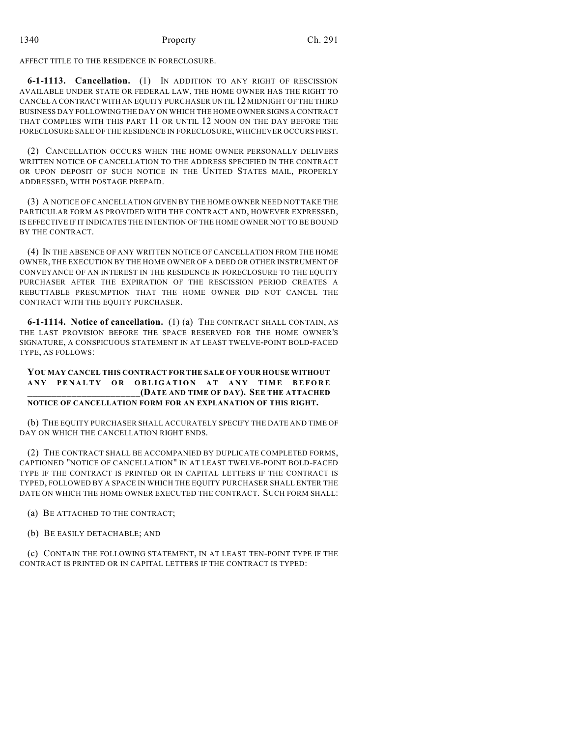AFFECT TITLE TO THE RESIDENCE IN FORECLOSURE.

**6-1-1113. Cancellation.** (1) IN ADDITION TO ANY RIGHT OF RESCISSION AVAILABLE UNDER STATE OR FEDERAL LAW, THE HOME OWNER HAS THE RIGHT TO CANCEL A CONTRACT WITH AN EQUITY PURCHASER UNTIL 12 MIDNIGHT OF THE THIRD BUSINESS DAY FOLLOWING THE DAY ON WHICH THE HOME OWNER SIGNS A CONTRACT THAT COMPLIES WITH THIS PART 11 OR UNTIL 12 NOON ON THE DAY BEFORE THE FORECLOSURE SALE OF THE RESIDENCE IN FORECLOSURE, WHICHEVER OCCURS FIRST.

(2) CANCELLATION OCCURS WHEN THE HOME OWNER PERSONALLY DELIVERS WRITTEN NOTICE OF CANCELLATION TO THE ADDRESS SPECIFIED IN THE CONTRACT OR UPON DEPOSIT OF SUCH NOTICE IN THE UNITED STATES MAIL, PROPERLY ADDRESSED, WITH POSTAGE PREPAID.

(3) A NOTICE OFCANCELLATION GIVEN BY THE HOME OWNER NEED NOT TAKE THE PARTICULAR FORM AS PROVIDED WITH THE CONTRACT AND, HOWEVER EXPRESSED, IS EFFECTIVE IF IT INDICATES THE INTENTION OF THE HOME OWNER NOT TO BE BOUND BY THE CONTRACT.

(4) IN THE ABSENCE OF ANY WRITTEN NOTICE OF CANCELLATION FROM THE HOME OWNER, THE EXECUTION BY THE HOME OWNER OF A DEED OR OTHER INSTRUMENT OF CONVEYANCE OF AN INTEREST IN THE RESIDENCE IN FORECLOSURE TO THE EQUITY PURCHASER AFTER THE EXPIRATION OF THE RESCISSION PERIOD CREATES A REBUTTABLE PRESUMPTION THAT THE HOME OWNER DID NOT CANCEL THE CONTRACT WITH THE EQUITY PURCHASER.

**6-1-1114. Notice of cancellation.** (1) (a) THE CONTRACT SHALL CONTAIN, AS THE LAST PROVISION BEFORE THE SPACE RESERVED FOR THE HOME OWNER'S SIGNATURE, A CONSPICUOUS STATEMENT IN AT LEAST TWELVE-POINT BOLD-FACED TYPE, AS FOLLOWS:

#### **YOU MAY CANCEL THIS CONTRACT FOR THE SALE OF YOUR HOUSE WITHOUT A NY P ENALT Y O R O BLI GAT I ON AT ANY T I ME BE F ORE \_\_\_\_\_\_\_\_\_\_\_\_\_\_\_\_\_\_\_\_\_\_\_(DATE AND TIME OF DAY). SEE THE ATTACHED NOTICE OF CANCELLATION FORM FOR AN EXPLANATION OF THIS RIGHT.**

(b) THE EQUITY PURCHASER SHALL ACCURATELY SPECIFY THE DATE AND TIME OF DAY ON WHICH THE CANCELLATION RIGHT ENDS.

(2) THE CONTRACT SHALL BE ACCOMPANIED BY DUPLICATE COMPLETED FORMS, CAPTIONED "NOTICE OF CANCELLATION" IN AT LEAST TWELVE-POINT BOLD-FACED TYPE IF THE CONTRACT IS PRINTED OR IN CAPITAL LETTERS IF THE CONTRACT IS TYPED, FOLLOWED BY A SPACE IN WHICH THE EQUITY PURCHASER SHALL ENTER THE DATE ON WHICH THE HOME OWNER EXECUTED THE CONTRACT. SUCH FORM SHALL:

(a) BE ATTACHED TO THE CONTRACT;

(b) BE EASILY DETACHABLE; AND

(c) CONTAIN THE FOLLOWING STATEMENT, IN AT LEAST TEN-POINT TYPE IF THE CONTRACT IS PRINTED OR IN CAPITAL LETTERS IF THE CONTRACT IS TYPED: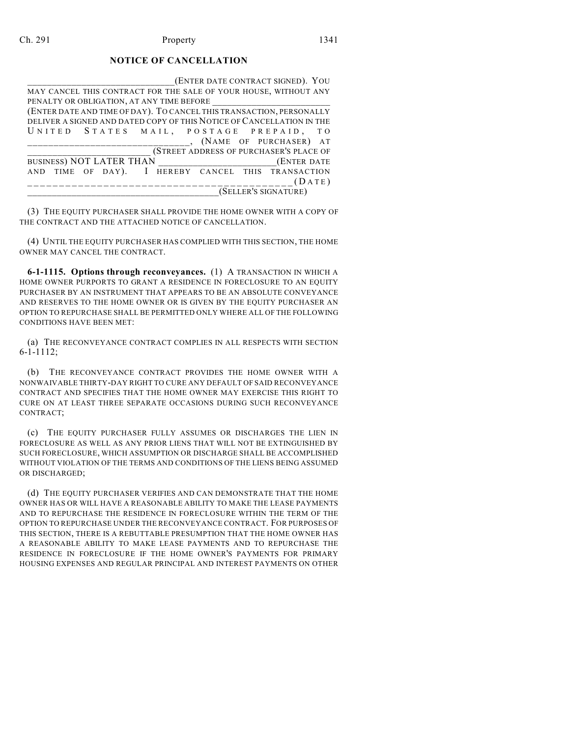## **NOTICE OF CANCELLATION**

| (ENTER DATE CONTRACT SIGNED). YOU                                     |
|-----------------------------------------------------------------------|
| MAY CANCEL THIS CONTRACT FOR THE SALE OF YOUR HOUSE, WITHOUT ANY      |
| PENALTY OR OBLIGATION, AT ANY TIME BEFORE                             |
| (ENTER DATE AND TIME OF DAY). TO CANCEL THIS TRANSACTION, PERSONALLY  |
| DELIVER A SIGNED AND DATED COPY OF THIS NOTICE OF CANCELLATION IN THE |
| UNITED STATES MAIL, POSTAGE PREPAID, TO                               |
|                                                                       |
| (STREET ADDRESS OF PURCHASER'S PLACE OF                               |
| <b>BUSINESS) NOT LATER THAN</b><br>(ENTER DATE)                       |
| AND TIME OF DAY). I HEREBY CANCEL THIS TRANSACTION                    |
| (DATE)                                                                |
| (SELLER'S SIGNATURE)                                                  |

(3) THE EQUITY PURCHASER SHALL PROVIDE THE HOME OWNER WITH A COPY OF THE CONTRACT AND THE ATTACHED NOTICE OF CANCELLATION.

(4) UNTIL THE EQUITY PURCHASER HAS COMPLIED WITH THIS SECTION, THE HOME OWNER MAY CANCEL THE CONTRACT.

**6-1-1115. Options through reconveyances.** (1) A TRANSACTION IN WHICH A HOME OWNER PURPORTS TO GRANT A RESIDENCE IN FORECLOSURE TO AN EQUITY PURCHASER BY AN INSTRUMENT THAT APPEARS TO BE AN ABSOLUTE CONVEYANCE AND RESERVES TO THE HOME OWNER OR IS GIVEN BY THE EQUITY PURCHASER AN OPTION TO REPURCHASE SHALL BE PERMITTED ONLY WHERE ALL OF THE FOLLOWING CONDITIONS HAVE BEEN MET:

(a) THE RECONVEYANCE CONTRACT COMPLIES IN ALL RESPECTS WITH SECTION 6-1-1112;

(b) THE RECONVEYANCE CONTRACT PROVIDES THE HOME OWNER WITH A NONWAIVABLE THIRTY-DAY RIGHT TO CURE ANY DEFAULT OF SAID RECONVEYANCE CONTRACT AND SPECIFIES THAT THE HOME OWNER MAY EXERCISE THIS RIGHT TO CURE ON AT LEAST THREE SEPARATE OCCASIONS DURING SUCH RECONVEYANCE CONTRACT;

(c) THE EQUITY PURCHASER FULLY ASSUMES OR DISCHARGES THE LIEN IN FORECLOSURE AS WELL AS ANY PRIOR LIENS THAT WILL NOT BE EXTINGUISHED BY SUCH FORECLOSURE, WHICH ASSUMPTION OR DISCHARGE SHALL BE ACCOMPLISHED WITHOUT VIOLATION OF THE TERMS AND CONDITIONS OF THE LIENS BEING ASSUMED OR DISCHARGED;

(d) THE EQUITY PURCHASER VERIFIES AND CAN DEMONSTRATE THAT THE HOME OWNER HAS OR WILL HAVE A REASONABLE ABILITY TO MAKE THE LEASE PAYMENTS AND TO REPURCHASE THE RESIDENCE IN FORECLOSURE WITHIN THE TERM OF THE OPTION TO REPURCHASE UNDER THE RECONVEYANCE CONTRACT. FOR PURPOSES OF THIS SECTION, THERE IS A REBUTTABLE PRESUMPTION THAT THE HOME OWNER HAS A REASONABLE ABILITY TO MAKE LEASE PAYMENTS AND TO REPURCHASE THE RESIDENCE IN FORECLOSURE IF THE HOME OWNER'S PAYMENTS FOR PRIMARY HOUSING EXPENSES AND REGULAR PRINCIPAL AND INTEREST PAYMENTS ON OTHER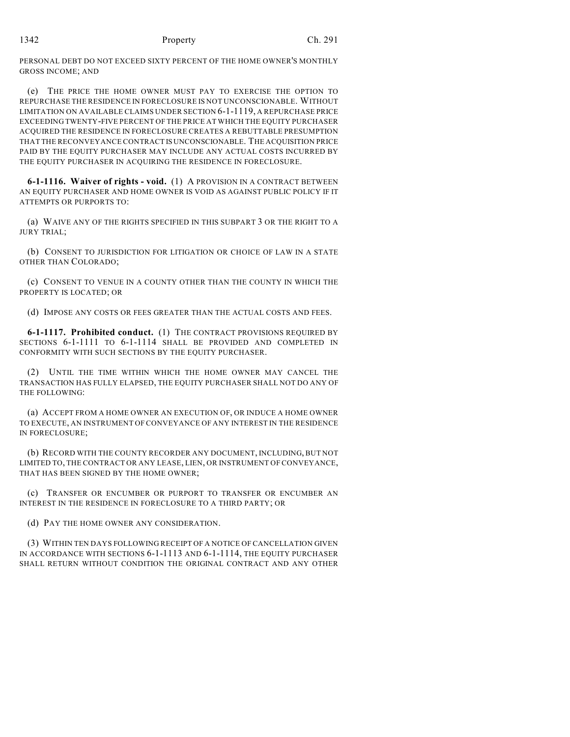PERSONAL DEBT DO NOT EXCEED SIXTY PERCENT OF THE HOME OWNER'S MONTHLY GROSS INCOME; AND

(e) THE PRICE THE HOME OWNER MUST PAY TO EXERCISE THE OPTION TO REPURCHASE THE RESIDENCE IN FORECLOSURE IS NOT UNCONSCIONABLE. WITHOUT LIMITATION ON AVAILABLE CLAIMS UNDER SECTION 6-1-1119, A REPURCHASE PRICE EXCEEDING TWENTY-FIVE PERCENT OF THE PRICE AT WHICH THE EQUITY PURCHASER ACQUIRED THE RESIDENCE IN FORECLOSURE CREATES A REBUTTABLE PRESUMPTION THAT THE RECONVEYANCE CONTRACT IS UNCONSCIONABLE. THE ACQUISITION PRICE PAID BY THE EQUITY PURCHASER MAY INCLUDE ANY ACTUAL COSTS INCURRED BY THE EQUITY PURCHASER IN ACQUIRING THE RESIDENCE IN FORECLOSURE.

**6-1-1116. Waiver of rights - void.** (1) A PROVISION IN A CONTRACT BETWEEN AN EQUITY PURCHASER AND HOME OWNER IS VOID AS AGAINST PUBLIC POLICY IF IT ATTEMPTS OR PURPORTS TO:

(a) WAIVE ANY OF THE RIGHTS SPECIFIED IN THIS SUBPART 3 OR THE RIGHT TO A JURY TRIAL;

(b) CONSENT TO JURISDICTION FOR LITIGATION OR CHOICE OF LAW IN A STATE OTHER THAN COLORADO;

(c) CONSENT TO VENUE IN A COUNTY OTHER THAN THE COUNTY IN WHICH THE PROPERTY IS LOCATED; OR

(d) IMPOSE ANY COSTS OR FEES GREATER THAN THE ACTUAL COSTS AND FEES.

**6-1-1117. Prohibited conduct.** (1) THE CONTRACT PROVISIONS REQUIRED BY SECTIONS 6-1-1111 TO 6-1-1114 SHALL BE PROVIDED AND COMPLETED IN CONFORMITY WITH SUCH SECTIONS BY THE EQUITY PURCHASER.

(2) UNTIL THE TIME WITHIN WHICH THE HOME OWNER MAY CANCEL THE TRANSACTION HAS FULLY ELAPSED, THE EQUITY PURCHASER SHALL NOT DO ANY OF THE FOLLOWING:

(a) ACCEPT FROM A HOME OWNER AN EXECUTION OF, OR INDUCE A HOME OWNER TO EXECUTE, AN INSTRUMENT OF CONVEYANCE OF ANY INTEREST IN THE RESIDENCE IN FORECLOSURE;

(b) RECORD WITH THE COUNTY RECORDER ANY DOCUMENT, INCLUDING, BUT NOT LIMITED TO, THE CONTRACT OR ANY LEASE, LIEN, OR INSTRUMENT OF CONVEYANCE, THAT HAS BEEN SIGNED BY THE HOME OWNER;

(c) TRANSFER OR ENCUMBER OR PURPORT TO TRANSFER OR ENCUMBER AN INTEREST IN THE RESIDENCE IN FORECLOSURE TO A THIRD PARTY; OR

(d) PAY THE HOME OWNER ANY CONSIDERATION.

(3) WITHIN TEN DAYS FOLLOWING RECEIPT OF A NOTICE OF CANCELLATION GIVEN IN ACCORDANCE WITH SECTIONS 6-1-1113 AND 6-1-1114, THE EQUITY PURCHASER SHALL RETURN WITHOUT CONDITION THE ORIGINAL CONTRACT AND ANY OTHER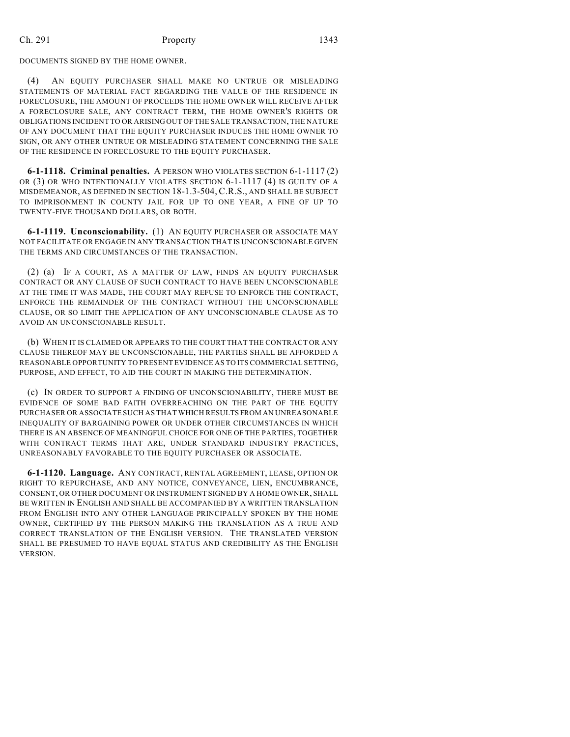## Ch. 291 **Property** Property 1343

DOCUMENTS SIGNED BY THE HOME OWNER.

(4) AN EQUITY PURCHASER SHALL MAKE NO UNTRUE OR MISLEADING STATEMENTS OF MATERIAL FACT REGARDING THE VALUE OF THE RESIDENCE IN FORECLOSURE, THE AMOUNT OF PROCEEDS THE HOME OWNER WILL RECEIVE AFTER A FORECLOSURE SALE, ANY CONTRACT TERM, THE HOME OWNER'S RIGHTS OR OBLIGATIONS INCIDENT TO OR ARISING OUT OFTHE SALE TRANSACTION, THE NATURE OF ANY DOCUMENT THAT THE EQUITY PURCHASER INDUCES THE HOME OWNER TO SIGN, OR ANY OTHER UNTRUE OR MISLEADING STATEMENT CONCERNING THE SALE OF THE RESIDENCE IN FORECLOSURE TO THE EQUITY PURCHASER.

**6-1-1118. Criminal penalties.** A PERSON WHO VIOLATES SECTION 6-1-1117 (2) OR (3) OR WHO INTENTIONALLY VIOLATES SECTION 6-1-1117 (4) IS GUILTY OF A MISDEMEANOR, AS DEFINED IN SECTION 18-1.3-504, C.R.S., AND SHALL BE SUBJECT TO IMPRISONMENT IN COUNTY JAIL FOR UP TO ONE YEAR, A FINE OF UP TO TWENTY-FIVE THOUSAND DOLLARS, OR BOTH.

**6-1-1119. Unconscionability.** (1) AN EQUITY PURCHASER OR ASSOCIATE MAY NOT FACILITATE OR ENGAGE IN ANY TRANSACTION THAT IS UNCONSCIONABLE GIVEN THE TERMS AND CIRCUMSTANCES OF THE TRANSACTION.

(2) (a) IF A COURT, AS A MATTER OF LAW, FINDS AN EQUITY PURCHASER CONTRACT OR ANY CLAUSE OF SUCH CONTRACT TO HAVE BEEN UNCONSCIONABLE AT THE TIME IT WAS MADE, THE COURT MAY REFUSE TO ENFORCE THE CONTRACT, ENFORCE THE REMAINDER OF THE CONTRACT WITHOUT THE UNCONSCIONABLE CLAUSE, OR SO LIMIT THE APPLICATION OF ANY UNCONSCIONABLE CLAUSE AS TO AVOID AN UNCONSCIONABLE RESULT.

(b) WHEN IT IS CLAIMED OR APPEARS TO THE COURT THAT THE CONTRACT OR ANY CLAUSE THEREOF MAY BE UNCONSCIONABLE, THE PARTIES SHALL BE AFFORDED A REASONABLE OPPORTUNITY TO PRESENT EVIDENCE AS TO ITS COMMERCIAL SETTING, PURPOSE, AND EFFECT, TO AID THE COURT IN MAKING THE DETERMINATION.

(c) IN ORDER TO SUPPORT A FINDING OF UNCONSCIONABILITY, THERE MUST BE EVIDENCE OF SOME BAD FAITH OVERREACHING ON THE PART OF THE EQUITY PURCHASER OR ASSOCIATE SUCH AS THAT WHICH RESULTS FROM AN UNREASONABLE INEQUALITY OF BARGAINING POWER OR UNDER OTHER CIRCUMSTANCES IN WHICH THERE IS AN ABSENCE OF MEANINGFUL CHOICE FOR ONE OF THE PARTIES, TOGETHER WITH CONTRACT TERMS THAT ARE, UNDER STANDARD INDUSTRY PRACTICES, UNREASONABLY FAVORABLE TO THE EQUITY PURCHASER OR ASSOCIATE.

**6-1-1120. Language.** ANY CONTRACT, RENTAL AGREEMENT, LEASE, OPTION OR RIGHT TO REPURCHASE, AND ANY NOTICE, CONVEYANCE, LIEN, ENCUMBRANCE, CONSENT, OR OTHER DOCUMENT OR INSTRUMENT SIGNED BY A HOME OWNER, SHALL BE WRITTEN IN ENGLISH AND SHALL BE ACCOMPANIED BY A WRITTEN TRANSLATION FROM ENGLISH INTO ANY OTHER LANGUAGE PRINCIPALLY SPOKEN BY THE HOME OWNER, CERTIFIED BY THE PERSON MAKING THE TRANSLATION AS A TRUE AND CORRECT TRANSLATION OF THE ENGLISH VERSION. THE TRANSLATED VERSION SHALL BE PRESUMED TO HAVE EQUAL STATUS AND CREDIBILITY AS THE ENGLISH VERSION.